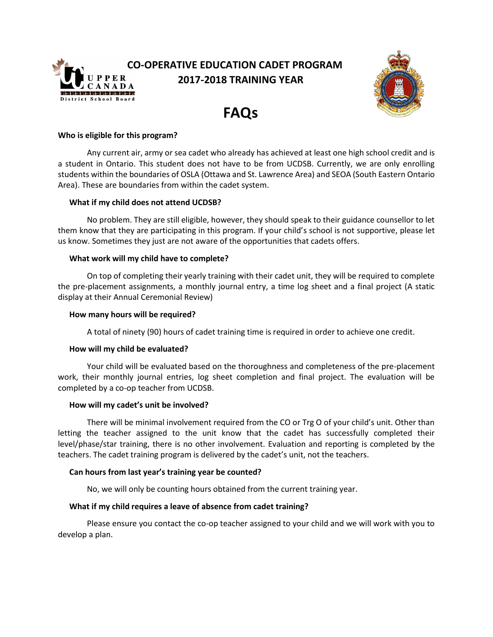

## **CO-OPERATIVE EDUCATION CADET PROGRAM 2017-2018 TRAINING YEAR**



# **FAQs**

## **Who is eligible for this program?**

Any current air, army or sea cadet who already has achieved at least one high school credit and is a student in Ontario. This student does not have to be from UCDSB. Currently, we are only enrolling students within the boundaries of OSLA (Ottawa and St. Lawrence Area) and SEOA (South Eastern Ontario Area). These are boundaries from within the cadet system.

## **What if my child does not attend UCDSB?**

No problem. They are still eligible, however, they should speak to their guidance counsellor to let them know that they are participating in this program. If your child's school is not supportive, please let us know. Sometimes they just are not aware of the opportunities that cadets offers.

## **What work will my child have to complete?**

On top of completing their yearly training with their cadet unit, they will be required to complete the pre-placement assignments, a monthly journal entry, a time log sheet and a final project (A static display at their Annual Ceremonial Review)

## **How many hours will be required?**

A total of ninety (90) hours of cadet training time is required in order to achieve one credit.

## **How will my child be evaluated?**

Your child will be evaluated based on the thoroughness and completeness of the pre-placement work, their monthly journal entries, log sheet completion and final project. The evaluation will be completed by a co-op teacher from UCDSB.

## **How will my cadet's unit be involved?**

There will be minimal involvement required from the CO or Trg O of your child's unit. Other than letting the teacher assigned to the unit know that the cadet has successfully completed their level/phase/star training, there is no other involvement. Evaluation and reporting is completed by the teachers. The cadet training program is delivered by the cadet's unit, not the teachers.

## **Can hours from last year's training year be counted?**

No, we will only be counting hours obtained from the current training year.

## **What if my child requires a leave of absence from cadet training?**

Please ensure you contact the co-op teacher assigned to your child and we will work with you to develop a plan.